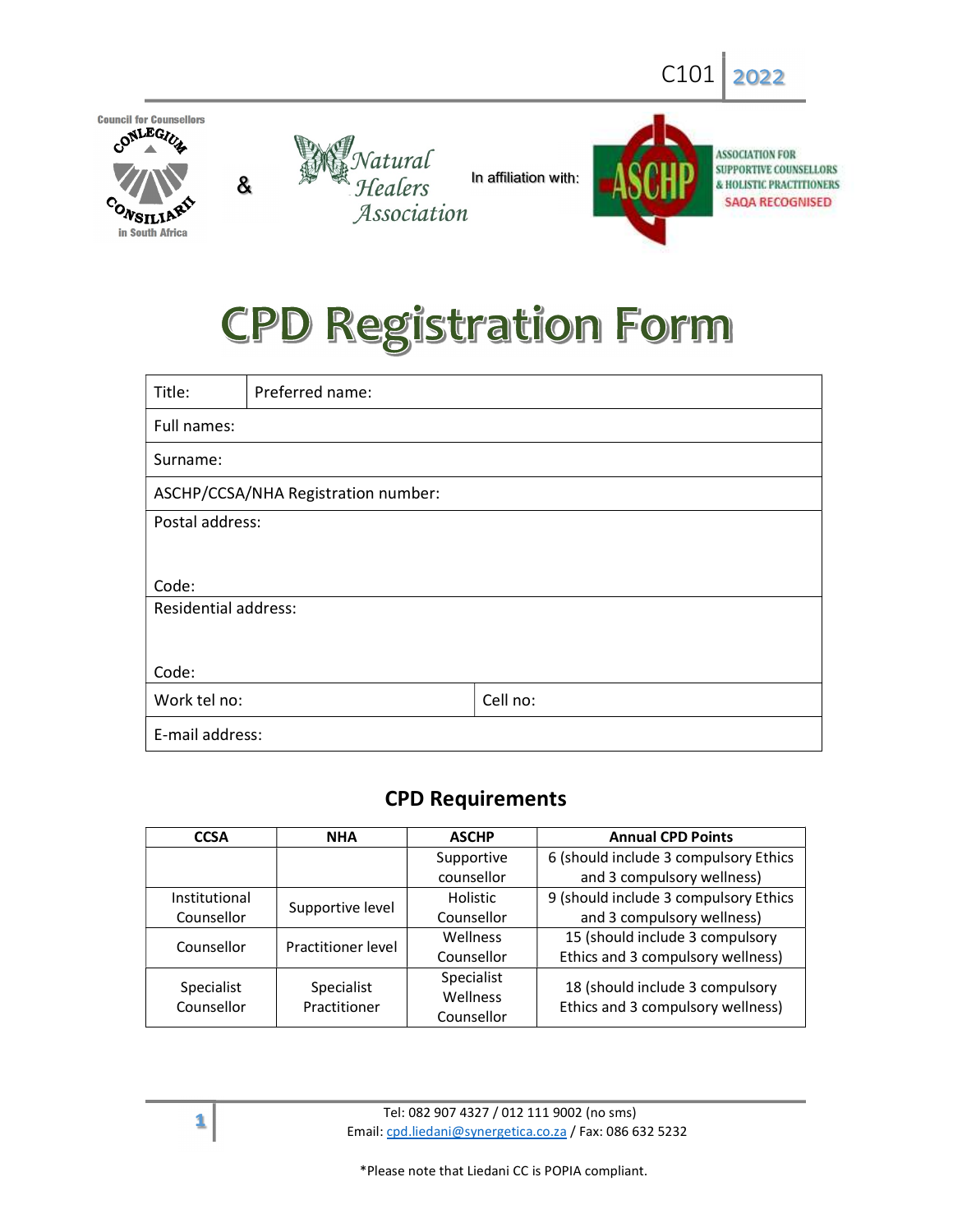

# **CPD Registration Form**

| Title:                              | Preferred name: |          |  |  |  |  |
|-------------------------------------|-----------------|----------|--|--|--|--|
| Full names:                         |                 |          |  |  |  |  |
| Surname:                            |                 |          |  |  |  |  |
| ASCHP/CCSA/NHA Registration number: |                 |          |  |  |  |  |
| Postal address:                     |                 |          |  |  |  |  |
|                                     |                 |          |  |  |  |  |
| Code:                               |                 |          |  |  |  |  |
| <b>Residential address:</b>         |                 |          |  |  |  |  |
|                                     |                 |          |  |  |  |  |
| Code:                               |                 |          |  |  |  |  |
| Work tel no:                        |                 | Cell no: |  |  |  |  |
| E-mail address:                     |                 |          |  |  |  |  |

# CPD Requirements

| <b>CCSA</b>              | <b>NHA</b>                 | <b>ASCHP</b>                  | <b>Annual CPD Points</b>                                             |  |  |
|--------------------------|----------------------------|-------------------------------|----------------------------------------------------------------------|--|--|
|                          |                            | Supportive                    | 6 (should include 3 compulsory Ethics                                |  |  |
|                          |                            | counsellor                    | and 3 compulsory wellness)                                           |  |  |
| Institutional            |                            | <b>Holistic</b>               | 9 (should include 3 compulsory Ethics                                |  |  |
| Counsellor               | Supportive level           | Counsellor                    | and 3 compulsory wellness)                                           |  |  |
| Counsellor               | Practitioner level         | <b>Wellness</b>               | 15 (should include 3 compulsory                                      |  |  |
|                          |                            | Counsellor                    | Ethics and 3 compulsory wellness)                                    |  |  |
| Specialist<br>Counsellor | Specialist<br>Practitioner | Specialist<br><b>Wellness</b> | 18 (should include 3 compulsory<br>Ethics and 3 compulsory wellness) |  |  |
|                          |                            | Counsellor                    |                                                                      |  |  |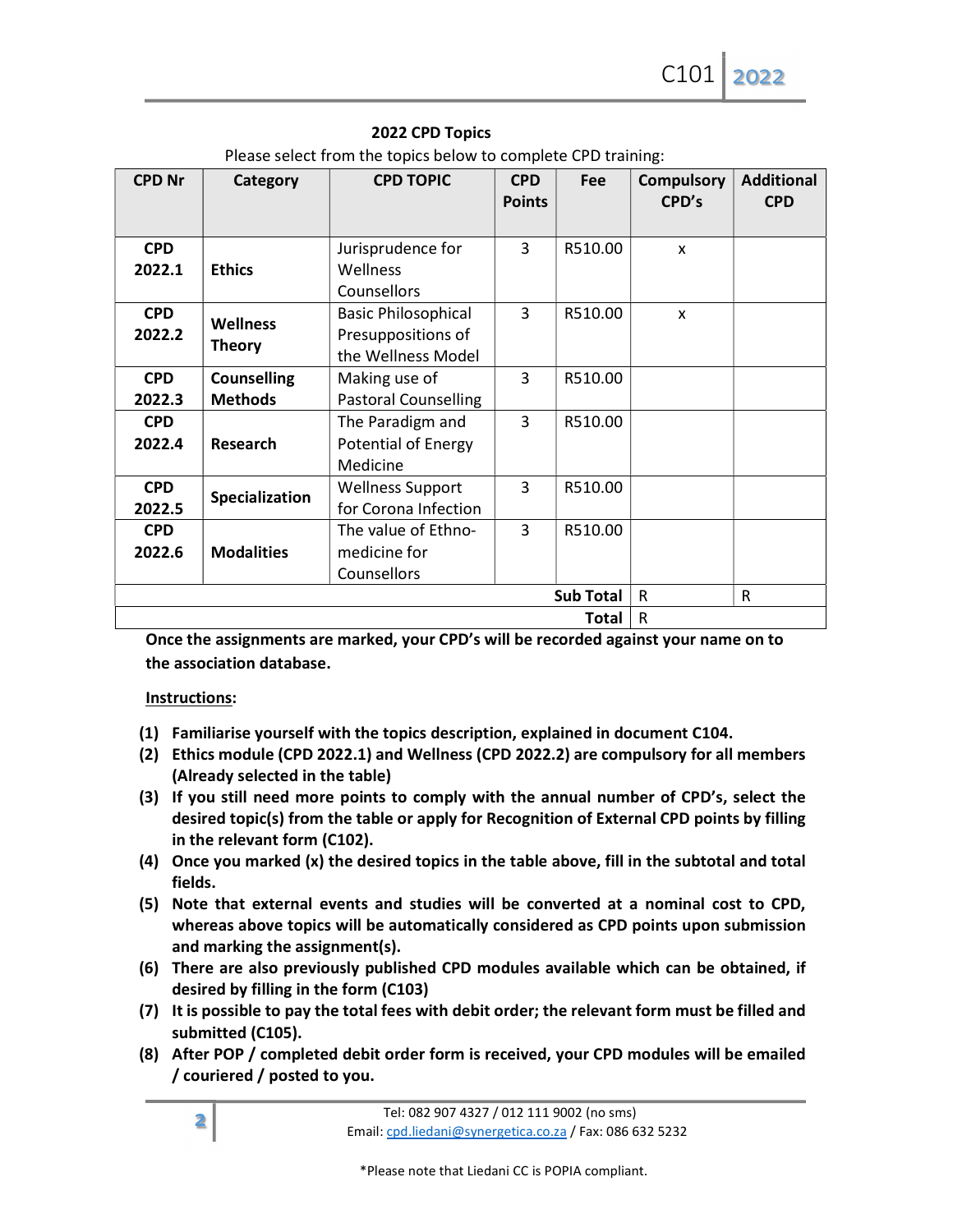| <b>CPD Nr</b> | Category                         | <b>CPD TOPIC</b>            | <b>CPD</b>     | Fee              | <b>Compulsory</b> | <b>Additional</b> |
|---------------|----------------------------------|-----------------------------|----------------|------------------|-------------------|-------------------|
|               |                                  |                             | <b>Points</b>  |                  | CPD's             | <b>CPD</b>        |
|               |                                  |                             | $\overline{3}$ |                  |                   |                   |
| <b>CPD</b>    |                                  | Jurisprudence for           |                | R510.00          | $\mathsf{x}$      |                   |
| 2022.1        | <b>Ethics</b>                    | Wellness                    |                |                  |                   |                   |
|               |                                  | Counsellors                 |                |                  |                   |                   |
| <b>CPD</b>    | <b>Wellness</b><br><b>Theory</b> | <b>Basic Philosophical</b>  | $\overline{3}$ | R510.00          | $\mathsf{x}$      |                   |
| 2022.2        |                                  | Presuppositions of          |                |                  |                   |                   |
|               |                                  | the Wellness Model          |                |                  |                   |                   |
| <b>CPD</b>    | <b>Counselling</b>               | Making use of               | $\overline{3}$ | R510.00          |                   |                   |
| 2022.3        | <b>Methods</b>                   | <b>Pastoral Counselling</b> |                |                  |                   |                   |
| <b>CPD</b>    |                                  | The Paradigm and            | $\overline{3}$ | R510.00          |                   |                   |
| 2022.4        | <b>Research</b>                  | <b>Potential of Energy</b>  |                |                  |                   |                   |
|               |                                  | Medicine                    |                |                  |                   |                   |
| <b>CPD</b>    | <b>Specialization</b>            | <b>Wellness Support</b>     | $\overline{3}$ | R510.00          |                   |                   |
| 2022.5        |                                  | for Corona Infection        |                |                  |                   |                   |
| <b>CPD</b>    |                                  | The value of Ethno-         | $\overline{3}$ | R510.00          |                   |                   |
| 2022.6        | <b>Modalities</b>                | medicine for                |                |                  |                   |                   |
|               |                                  | Counsellors                 |                |                  |                   |                   |
|               |                                  |                             |                | <b>Sub Total</b> | $\mathsf{R}$      | ${\sf R}$         |
|               |                                  |                             |                | Total            | $\mathsf{R}$      |                   |

#### 2022 CPD Topics

Please select from the topics below to complete CPD training:

Once the assignments are marked, your CPD's will be recorded against your name on to the association database.

## Instructions:

- (1) Familiarise yourself with the topics description, explained in document C104.
- (2) Ethics module (CPD 2022.1) and Wellness (CPD 2022.2) are compulsory for all members (Already selected in the table)
- (3) If you still need more points to comply with the annual number of CPD's, select the desired topic(s) from the table or apply for Recognition of External CPD points by filling in the relevant form (C102).
- (4) Once you marked (x) the desired topics in the table above, fill in the subtotal and total fields.
- (5) Note that external events and studies will be converted at a nominal cost to CPD, whereas above topics will be automatically considered as CPD points upon submission and marking the assignment(s).
- (6) There are also previously published CPD modules available which can be obtained, if desired by filling in the form (C103)
- (7) It is possible to pay the total fees with debit order; the relevant form must be filled and submitted (C105).
- (8) After POP / completed debit order form is received, your CPD modules will be emailed / couriered / posted to you.